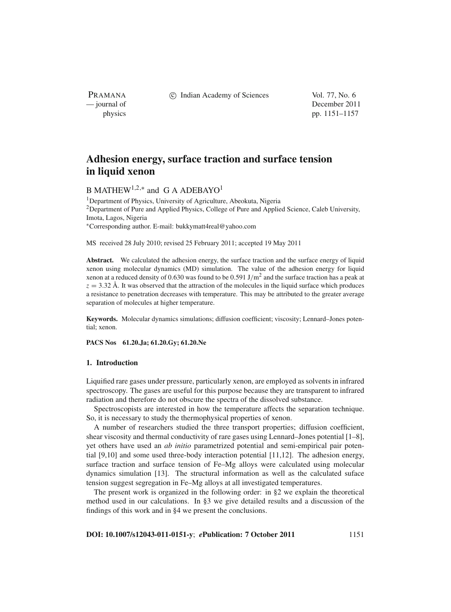PRAMANA

c Indian Academy of Sciences Vol. 77, No. 6

— journal of December 2011 physics pp. 1151–1157

# **Adhesion energy, surface traction and surface tension in liquid xenon**

## B MATHEW<sup>1,2,\*</sup> and G A ADEBAYO<sup>1</sup>

1Department of Physics, University of Agriculture, Abeokuta, Nigeria 2Department of Pure and Applied Physics, College of Pure and Applied Science, Caleb University, Imota, Lagos, Nigeria <sup>∗</sup>Corresponding author. E-mail: bukkymatt4real@yahoo.com

MS received 28 July 2010; revised 25 February 2011; accepted 19 May 2011

**Abstract.** We calculated the adhesion energy, the surface traction and the surface energy of liquid xenon using molecular dynamics (MD) simulation. The value of the adhesion energy for liquid xenon at a reduced density of 0.630 was found to be 0.591 J/m<sup>2</sup> and the surface traction has a peak at  $z = 3.32$  Å. It was observed that the attraction of the molecules in the liquid surface which produces a resistance to penetration decreases with temperature. This may be attributed to the greater average separation of molecules at higher temperature.

**Keywords.** Molecular dynamics simulations; diffusion coefficient; viscosity; Lennard–Jones potential; xenon.

**PACS Nos 61.20.Ja; 61.20.Gy; 61.20.Ne**

### **1. Introduction**

Liquified rare gases under pressure, particularly xenon, are employed as solvents in infrared spectroscopy. The gases are useful for this purpose because they are transparent to infrared radiation and therefore do not obscure the spectra of the dissolved substance.

Spectroscopists are interested in how the temperature affects the separation technique. So, it is necessary to study the thermophysical properties of xenon.

A number of researchers studied the three transport properties; diffusion coefficient, shear viscosity and thermal conductivity of rare gases using Lennard–Jones potential [1–8], yet others have used an *ab initio* parametrized potential and semi-empirical pair potential [9,10] and some used three-body interaction potential [11,12]. The adhesion energy, surface traction and surface tension of Fe–Mg alloys were calculated using molecular dynamics simulation [13]. The structural information as well as the calculated suface tension suggest segregation in Fe–Mg alloys at all investigated temperatures.

The present work is organized in the following order: in §2 we explain the theoretical method used in our calculations. In §3 we give detailed results and a discussion of the findings of this work and in §4 we present the conclusions.

**DOI: 10.1007/s12043-011-0151-y**; *e***Publication: 7 October 2011** 1151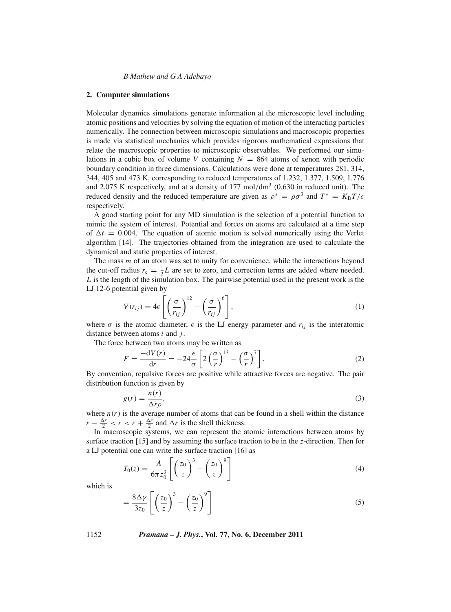*B Mathew and G A Adebayo*

#### **2. Computer simulations**

Molecular dynamics simulations generate information at the microscopic level including atomic positions and velocities by solving the equation of motion of the interacting particles numerically. The connection between microscopic simulations and macroscopic properties is made via statistical mechanics which provides rigorous mathematical expressions that relate the macroscopic properties to microscopic observables. We performed our simulations in a cubic box of volume *V* containing  $N = 864$  atoms of xenon with periodic boundary condition in three dimensions. Calculations were done at temperatures 281, 314, 344, 405 and 473 K, corresponding to reduced temperatures of 1.232, 1.377, 1.509, 1.776 and 2.075 K respectively, and at a density of  $177 \text{ mol/dm}^3$  (0.630 in reduced unit). The reduced density and the reduced temperature are given as  $\rho^* = \rho \sigma^3$  and  $T^* = K_B T / \epsilon$ respectively.

A good starting point for any MD simulation is the selection of a potential function to mimic the system of interest. Potential and forces on atoms are calculated at a time step of  $\Delta t = 0.004$ . The equation of atomic motion is solved numerically using the Verlet algorithm [14]. The trajectories obtained from the integration are used to calculate the dynamical and static properties of interest.

The mass *m* of an atom was set to unity for convenience, while the interactions beyond the cut-off radius  $r_c = \frac{1}{2}L$  are set to zero, and correction terms are added where needed. *L* is the length of the simulation box. The pairwise potential used in the present work is the LJ 12-6 potential given by

$$
V(r_{ij}) = 4\epsilon \left[ \left( \frac{\sigma}{r_{ij}} \right)^{12} - \left( \frac{\sigma}{r_{ij}} \right)^6 \right],
$$
\n(1)

where  $\sigma$  is the atomic diameter,  $\epsilon$  is the LJ energy parameter and  $r_{ij}$  is the interatomic distance between atoms *i* and *j*.

The force between two atoms may be written as

$$
F = \frac{-dV(r)}{dr} = -24 \frac{\epsilon}{\sigma} \left[ 2 \left( \frac{\sigma}{r} \right)^{13} - \left( \frac{\sigma}{r} \right)^7 \right].
$$
 (2)

By convention, repulsive forces are positive while attractive forces are negative. The pair distribution function is given by

$$
g(r) = \frac{n(r)}{\Delta r \rho},\tag{3}
$$

where  $n(r)$  is the average number of atoms that can be found in a shell within the distance  $r - \frac{\Delta r}{2} < r < r + \frac{\Delta r}{2}$  and  $\Delta r$  is the shell thickness.

In macroscopic systems, we can represent the atomic interactions between atoms by surface traction [15] and by assuming the surface traction to be in the *z*-direction. Then for a LJ potential one can write the surface traction [16] as

$$
T_0(z) = \frac{A}{6\pi z_0^3} \left[ \left(\frac{z_0}{z}\right)^3 - \left(\frac{z_0}{z}\right)^9 \right] \tag{4}
$$

which is

$$
= \frac{8\Delta\gamma}{3z_0} \left[ \left( \frac{z_0}{z} \right)^3 - \left( \frac{z_0}{z} \right)^9 \right] \tag{5}
$$

1152 *Pramana – J. Phys.***, Vol. 77, No. 6, December 2011**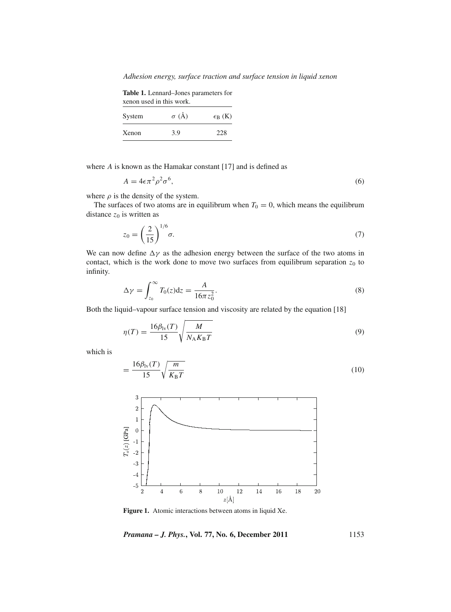*Adhesion energy, surface traction and surface tension in liquid xenon*

**Table 1.** Lennard–Jones parameters for xenon used in this work.

| System | $\sigma$ (Å) | $\epsilon_B$ (K) |  |
|--------|--------------|------------------|--|
| Xenon  | 3.9          | 228              |  |

where *A* is known as the Hamakar constant [17] and is defined as

$$
A = 4\epsilon \pi^2 \rho^2 \sigma^6,\tag{6}
$$

where  $\rho$  is the density of the system.

The surfaces of two atoms are in equilibrum when  $T_0 = 0$ , which means the equilibrum distance  $z_0$  is written as

$$
z_0 = \left(\frac{2}{15}\right)^{1/6} \sigma. \tag{7}
$$

We can now define  $\Delta \gamma$  as the adhesion energy between the surface of the two atoms in contact, which is the work done to move two surfaces from equilibrum separation  $z_0$  to infinity.

$$
\Delta \gamma = \int_{z_0}^{\infty} T_0(z) \mathrm{d}z = \frac{A}{16\pi z_0^2}.
$$
\n(8)

Both the liquid–vapour surface tension and viscosity are related by the equation [18]

$$
\eta(T) = \frac{16\beta_{\rm lv}(T)}{15} \sqrt{\frac{M}{N_{\rm A}K_{\rm B}T}}\tag{9}
$$

which is

$$
=\frac{16\beta_{\text{lv}}(T)}{15}\sqrt{\frac{m}{K_{\text{B}}T}}
$$
\n(10)



**Figure 1.** Atomic interactions between atoms in liquid Xe.

*Pramana – J. Phys.***, Vol. 77, No. 6, December 2011** 1153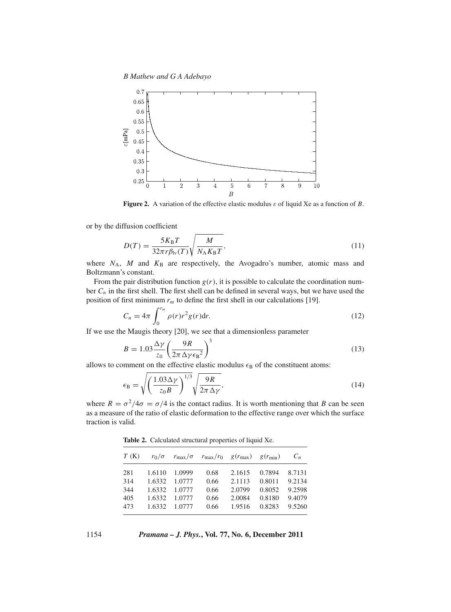*B Mathew and G A Adebayo*



**Figure 2.** A variation of the effective elastic modulus ε of liquid Xe as a function of *B*.

or by the diffusion coefficient

$$
D(T) = \frac{5K_{\rm B}T}{32\pi r \beta_{\rm IV}(T)} \sqrt{\frac{M}{N_{\rm A}K_{\rm B}T}},\tag{11}
$$

where  $N_A$ ,  $M$  and  $K_B$  are respectively, the Avogadro's number, atomic mass and Boltzmann's constant.

From the pair distribution function  $g(r)$ , it is possible to calculate the coordination number *Cn* in the first shell. The first shell can be defined in several ways, but we have used the position of first minimum  $r_m$  to define the first shell in our calculations [19].

$$
C_n = 4\pi \int_0^{r_m} \rho(r)r^2 g(r) dr.
$$
 (12)

If we use the Maugis theory [20], we see that a dimensionless parameter

$$
B = 1.03 \frac{\Delta \gamma}{z_0} \left( \frac{9R}{2\pi \Delta \gamma \epsilon_B^2} \right)^3 \tag{13}
$$

allows to comment on the effective elastic modulus  $\epsilon_B$  of the constituent atoms:

$$
\epsilon_{\rm B} = \sqrt{\left(\frac{1.03\Delta\gamma}{z_0 B}\right)^{1/3} \sqrt{\frac{9R}{2\pi\Delta\gamma}}},\tag{14}
$$

where  $R = \frac{\sigma^2}{4\sigma} = \frac{\sigma}{4}$  is the contact radius. It is worth mentioning that *B* can be seen as a measure of the ratio of elastic deformation to the effective range over which the surface traction is valid.

**Table 2.** Calculated structural properties of liquid Xe.

| T(K) |               | $r_0/\sigma$ $r_{\text{max}}/\sigma$ $r_{\text{max}}/r_0$ $g(r_{\text{max}})$ $g(r_{\text{min}})$ |        |        | $C_n$  |
|------|---------------|---------------------------------------------------------------------------------------------------|--------|--------|--------|
| 281  | 1.6110 1.0999 | 0.68                                                                                              | 2.1615 | 0.7894 | 8.7131 |
| 314  | 1.6332 1.0777 | 0.66                                                                                              | 2.1113 | 0.8011 | 9.2134 |
| 344  | 1.6332 1.0777 | 0.66                                                                                              | 2.0799 | 0.8052 | 9.2598 |
| 405  | 1.6332 1.0777 | 0.66                                                                                              | 2.0084 | 0.8180 | 9.4079 |
| 473  | 1.6332 1.0777 | 0.66                                                                                              | 1.9516 | 0.8283 | 9.5260 |
|      |               |                                                                                                   |        |        |        |

1154 *Pramana – J. Phys.***, Vol. 77, No. 6, December 2011**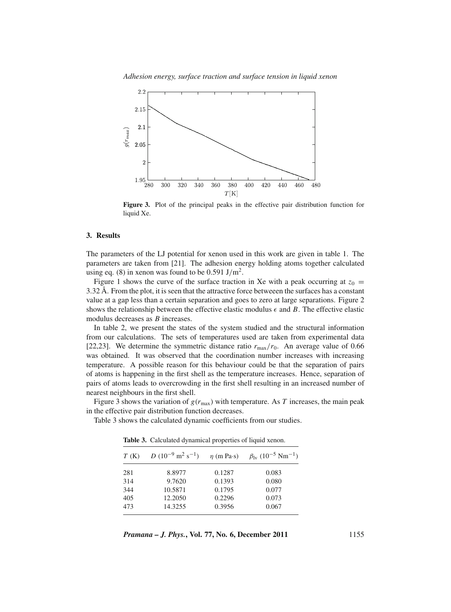*Adhesion energy, surface traction and surface tension in liquid xenon*



**Figure 3.** Plot of the principal peaks in the effective pair distribution function for liquid Xe.

#### **3. Results**

The parameters of the LJ potential for xenon used in this work are given in table 1. The parameters are taken from [21]. The adhesion energy holding atoms together calculated using eq. (8) in xenon was found to be 0.591 J/m<sup>2</sup>.

Figure 1 shows the curve of the surface traction in Xe with a peak occurring at  $z_0 =$ 3.32 Å. From the plot, it is seen that the attractive force betweeen the surfaces has a constant value at a gap less than a certain separation and goes to zero at large separations. Figure 2 shows the relationship between the effective elastic modulus  $\epsilon$  and *B*. The effective elastic modulus decreases as *B* increases.

In table 2, we present the states of the system studied and the structural information from our calculations. The sets of temperatures used are taken from experimental data [22,23]. We determine the symmetric distance ratio  $r_{\text{max}}/r_0$ . An average value of 0.66 was obtained. It was observed that the coordination number increases with increasing temperature. A possible reason for this behaviour could be that the separation of pairs of atoms is happening in the first shell as the temperature increases. Hence, separation of pairs of atoms leads to overcrowding in the first shell resulting in an increased number of nearest neighbours in the first shell.

Figure 3 shows the variation of  $g(r_{\text{max}})$  with temperature. As *T* increases, the main peak in the effective pair distribution function decreases.

Table 3 shows the calculated dynamic coefficients from our studies.

*T* (K) *D* (10<sup>-9</sup> m<sup>2</sup> s<sup>-1</sup>)  $\eta$  (m Pa·s)  $\beta_{\text{lv}}$  (10<sup>-5</sup> Nm 281 8.8977 0.1287 0.083 314 9.7620 0.1393 0.080 344 10.5871 0.1795 0.077 405 12.2050 0.2296 0.073 473 14.3255 0.3956 0.067

**Table 3.** Calculated dynamical properties of liquid xenon.

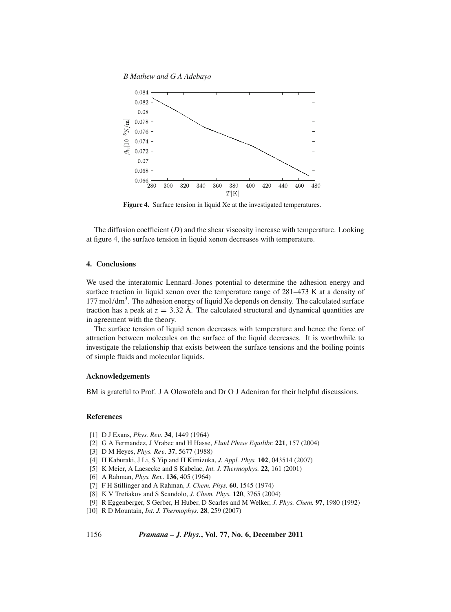*B Mathew and G A Adebayo*



**Figure 4.** Surface tension in liquid Xe at the investigated temperatures.

The diffusion coefficient (*D*) and the shear viscosity increase with temperature. Looking at figure 4, the surface tension in liquid xenon decreases with temperature.

## **4. Conclusions**

We used the interatomic Lennard–Jones potential to determine the adhesion energy and surface traction in liquid xenon over the temperature range of 281–473 K at a density of  $177 \text{ mol/dm}^3$ . The adhesion energy of liquid Xe depends on density. The calculated surface traction has a peak at  $z = 3.32$  Å. The calculated structural and dynamical quantities are in agreement with the theory.

The surface tension of liquid xenon decreases with temperature and hence the force of attraction between molecules on the surface of the liquid decreases. It is worthwhile to investigate the relationship that exists between the surface tensions and the boiling points of simple fluids and molecular liquids.

## **Acknowledgements**

BM is grateful to Prof. J A Olowofela and Dr O J Adeniran for their helpful discussions.

## **References**

- [1] D J Exans, *Phys. Re*v*.* **34**, 1449 (1964)
- [2] G A Fermandez, J Vrabec and H Hasse, *Fluid Phase Equilibr.* **221**, 157 (2004)
- [3] D M Heyes, *Phys. Re*v*.* **37**, 5677 (1988)
- [4] H Kaburaki, J Li, S Yip and H Kimizuka, *J. Appl. Phys.* **102**, 043514 (2007)
- [5] K Meier, A Laesecke and S Kabelac, *Int. J. Thermophys.* **22**, 161 (2001)
- [6] A Rahman, *Phys. Re*v*.* **136**, 405 (1964)
- [7] F H Stillinger and A Rahman, *J. Chem. Phys.* **60**, 1545 (1974)
- [8] K V Tretiakov and S Scandolo, *J. Chem. Phys.* **120**, 3765 (2004)
- [9] R Eggenberger, S Gerber, H Huber, D Scarles and M Welker, *J. Phys. Chem.* **97**, 1980 (1992)
- [10] R D Mountain, *Int. J. Thermophys.* **28**, 259 (2007)

## 1156 *Pramana – J. Phys.***, Vol. 77, No. 6, December 2011**